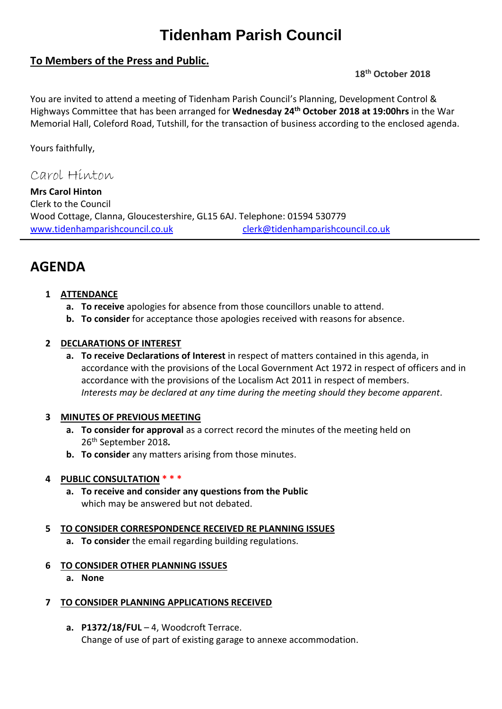# **Tidenham Parish Council**

# **To Members of the Press and Public.**

#### **18th October 2018**

You are invited to attend a meeting of Tidenham Parish Council's Planning, Development Control & Highways Committee that has been arranged for **Wednesday 24 th October 2018 at 19:00hrs** in the War Memorial Hall, Coleford Road, Tutshill, for the transaction of business according to the enclosed agenda.

Yours faithfully,

Carol Hinton

**Mrs Carol Hinton** Clerk to the Council Wood Cottage, Clanna, Gloucestershire, GL15 6AJ. Telephone: 01594 530779 [www.tidenhamparishcouncil.co.uk](http://www.tidenhamparishcouncil.co.uk/) [clerk@tidenhamparishcouncil.co.uk](mailto:clerk@tidenhamparishcouncil.co.uk)

# **AGENDA**

### **1 ATTENDANCE**

- **a. To receive** apologies for absence from those councillors unable to attend.
- **b. To consider** for acceptance those apologies received with reasons for absence.

#### **2 DECLARATIONS OF INTEREST**

**a. To receive Declarations of Interest** in respect of matters contained in this agenda, in accordance with the provisions of the Local Government Act 1972 in respect of officers and in accordance with the provisions of the Localism Act 2011 in respect of members. *Interests may be declared at any time during the meeting should they become apparent.*

#### **3 MINUTES OF PREVIOUS MEETING**

- **a. To consider for approval** as a correct record the minutes of the meeting held on 26 th September 2018*.*
- **b. To consider** any matters arising from those minutes.

#### **4 PUBLIC CONSULTATION \* \* \***

**a. To receive and consider any questions from the Public** which may be answered but not debated.

#### **5 TO CONSIDER CORRESPONDENCE RECEIVED RE PLANNING ISSUES**

**a. To consider** the email regarding building regulations.

#### **6 TO CONSIDER OTHER PLANNING ISSUES**

**a. None**

#### **7 TO CONSIDER PLANNING APPLICATIONS RECEIVED**

**a. P1372/18/FUL** – 4, Woodcroft Terrace. Change of use of part of existing garage to annexe accommodation.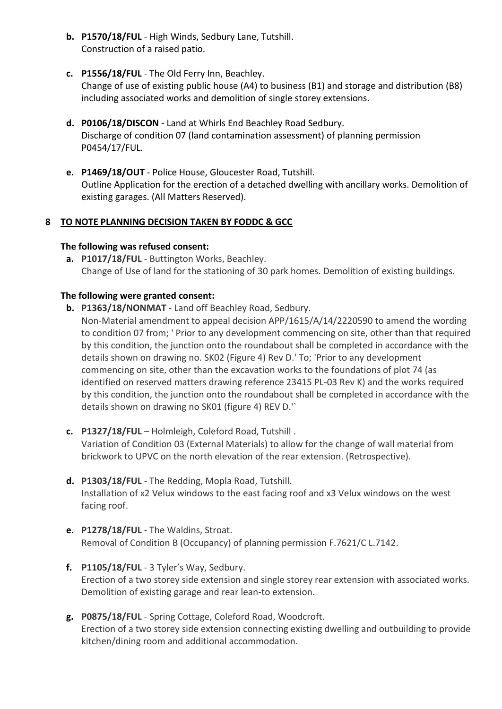- **b. P1570/18/FUL** High Winds, Sedbury Lane, Tutshill. Construction of a raised patio.
- **c. P1556/18/FUL** The Old Ferry Inn, Beachley. Change of use of existing public house (A4) to business (B1) and storage and distribution (B8) including associated works and demolition of single storey extensions.
- **d. P0106/18/DISCON** Land at Whirls End Beachley Road Sedbury. Discharge of condition 07 (land contamination assessment) of planning permission P0454/17/FUL.
- **e. P1469/18/OUT** Police House, Gloucester Road, Tutshill. Outline Application for the erection of a detached dwelling with ancillary works. Demolition of existing garages. (All Matters Reserved).

#### **8 TO NOTE PLANNING DECISION TAKEN BY FODDC & GCC**

#### **The following was refused consent:**

**a. P1017/18/FUL** - Buttington Works, Beachley. Change of Use of land for the stationing of 30 park homes. Demolition of existing buildings.

#### **The following were granted consent:**

- **b. P1363/18/NONMAT** Land off Beachley Road, Sedbury.
	- Non-Material amendment to appeal decision APP/1615/A/14/2220590 to amend the wording to condition 07 from; ' Prior to any development commencing on site, other than that required by this condition, the junction onto the roundabout shall be completed in accordance with the details shown on drawing no. SK02 (Figure 4) Rev D.' To; 'Prior to any development commencing on site, other than the excavation works to the foundations of plot 74 (as identified on reserved matters drawing reference 23415 PL-03 Rev K) and the works required by this condition, the junction onto the roundabout shall be completed in accordance with the details shown on drawing no SK01 (figure 4) REV D.'`
- **c. P1327/18/FUL** Holmleigh, Coleford Road, Tutshill . Variation of Condition 03 (External Materials) to allow for the change of wall material from brickwork to UPVC on the north elevation of the rear extension. (Retrospective).
- **d. P1303/18/FUL** The Redding, Mopla Road, Tutshill. Installation of x2 Velux windows to the east facing roof and x3 Velux windows on the west facing roof.
- **e. P1278/18/FUL** The Waldins, Stroat. Removal of Condition B (Occupancy) of planning permission F.7621/C L.7142.
- **f. P1105/18/FUL** 3 Tyler's Way, Sedbury. Erection of a two storey side extension and single storey rear extension with associated works. Demolition of existing garage and rear lean-to extension.
- **g. P0875/18/FUL** Spring Cottage, Coleford Road, Woodcroft. Erection of a two storey side extension connecting existing dwelling and outbuilding to provide kitchen/dining room and additional accommodation.